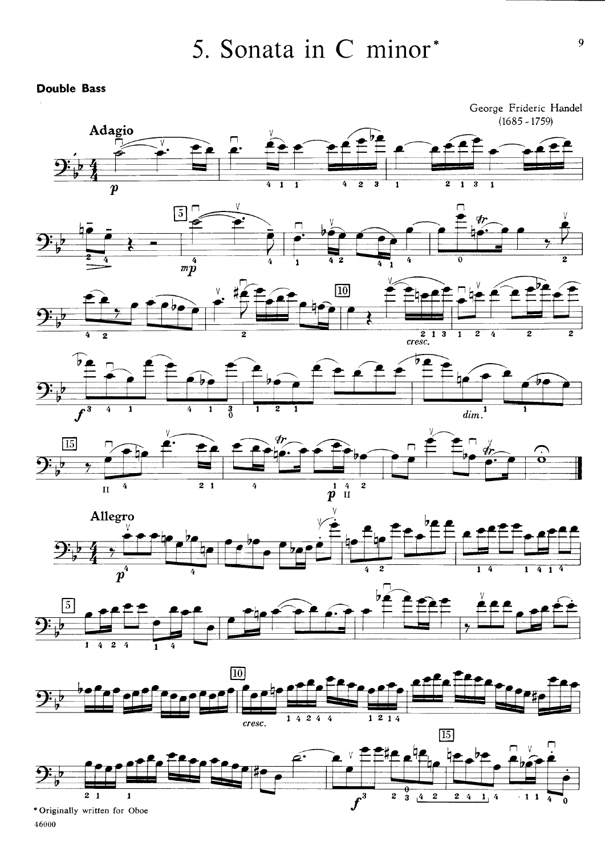## 5. Sonata in C minor\*

## **Double Bass**





 $\mathbf{1}$  $\overline{2}$  $\overline{4}$   $\overline{9}$ 

<sup>46000</sup>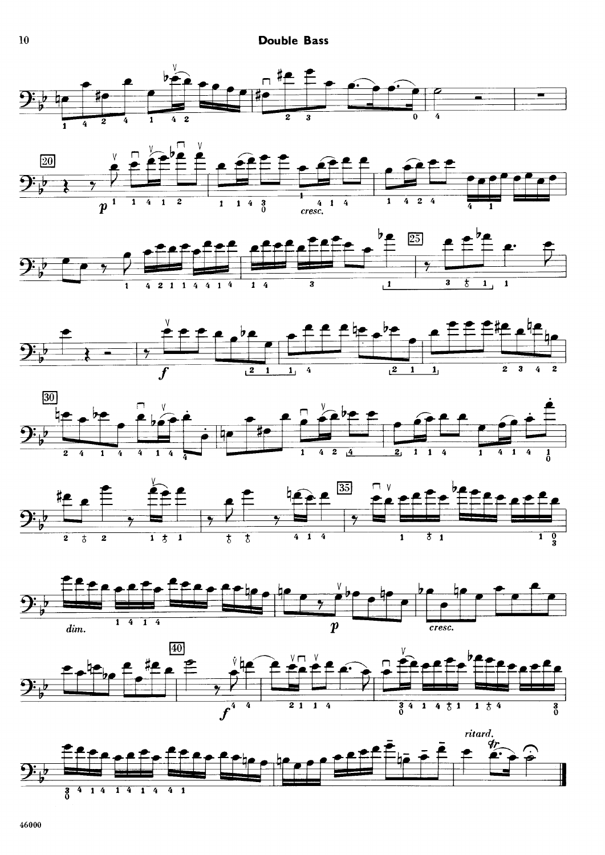















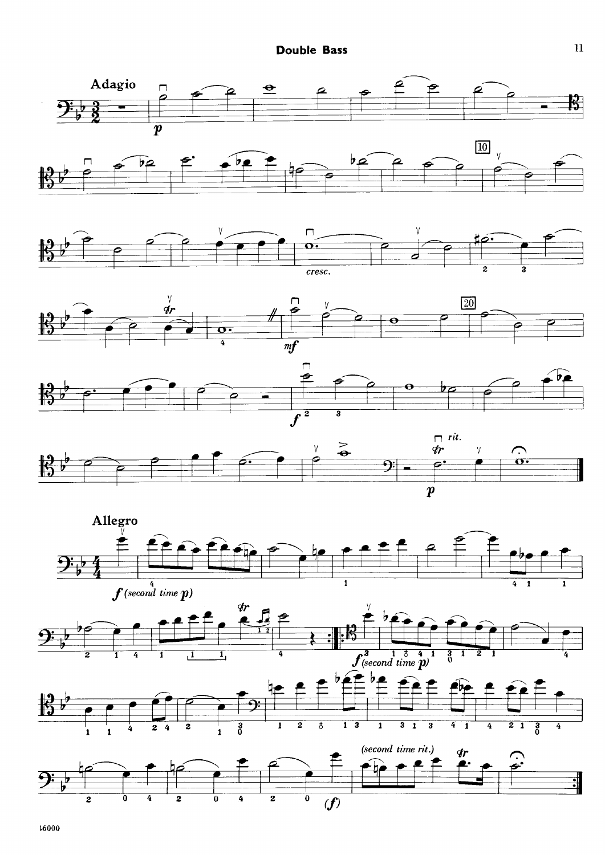## **Double Bass**

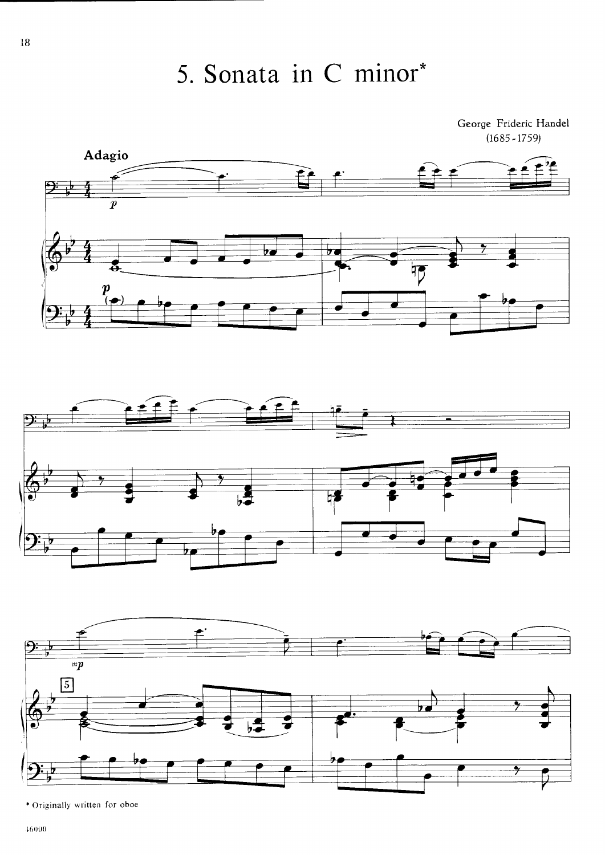George Frideric Handel  $(1685 - 1759)$ 



\* Originally written for oboe

46000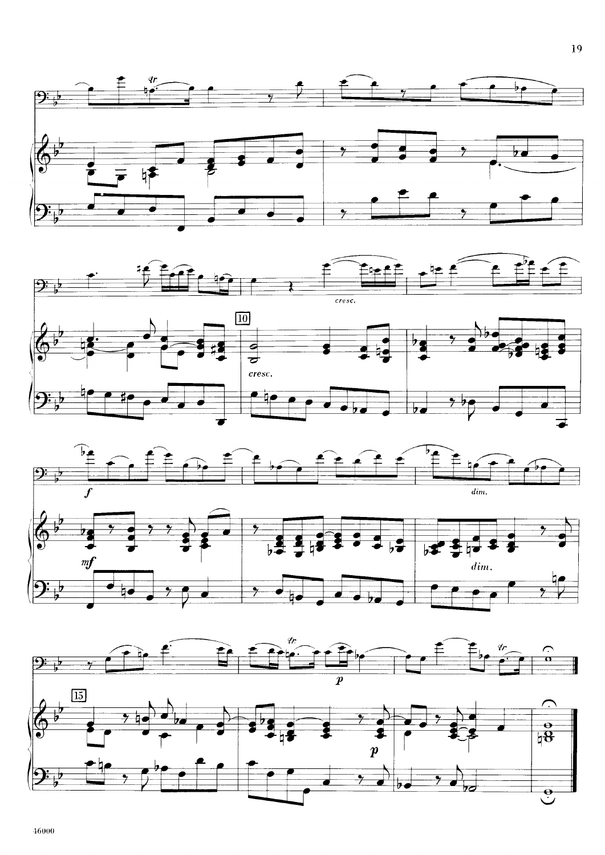





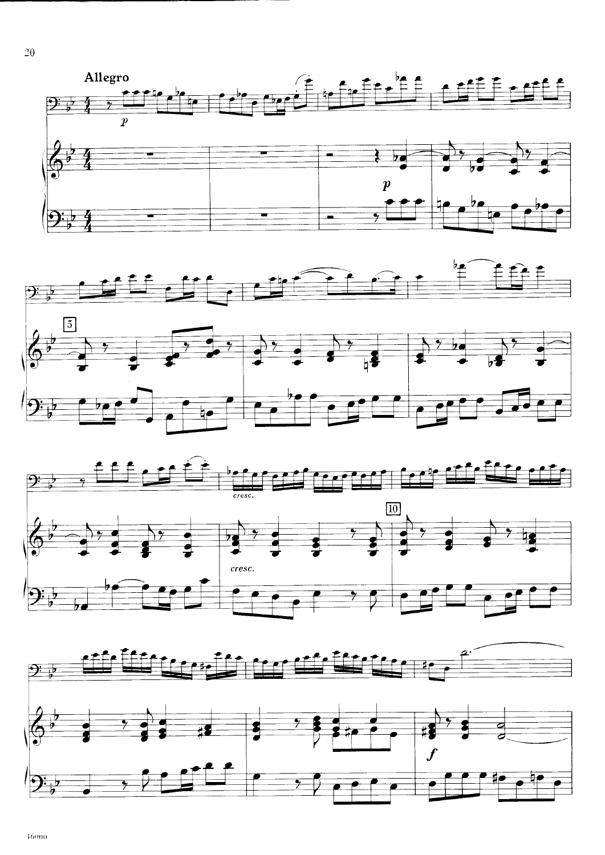





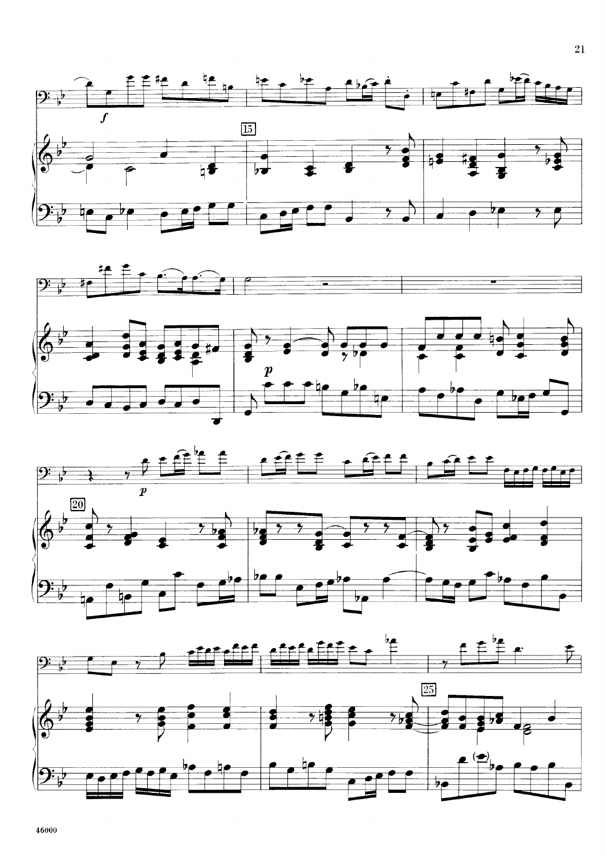





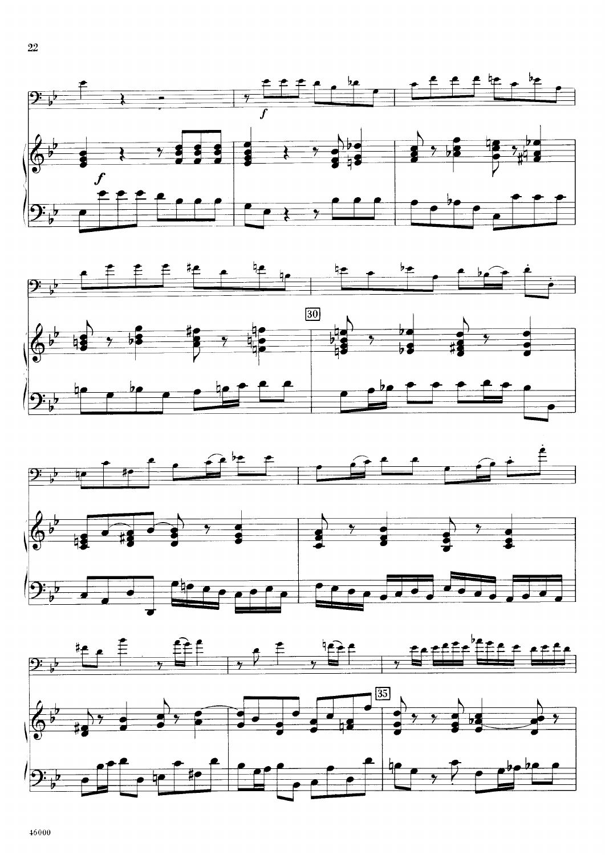





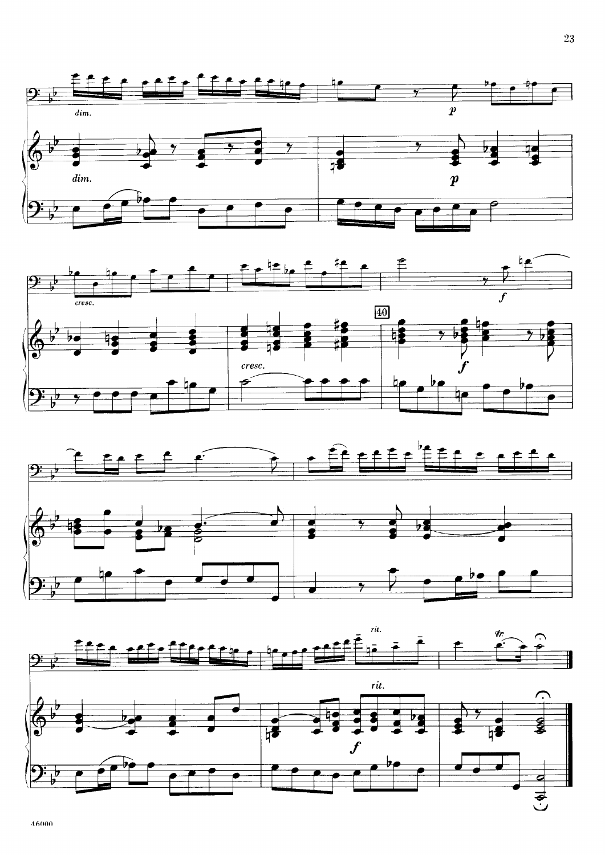





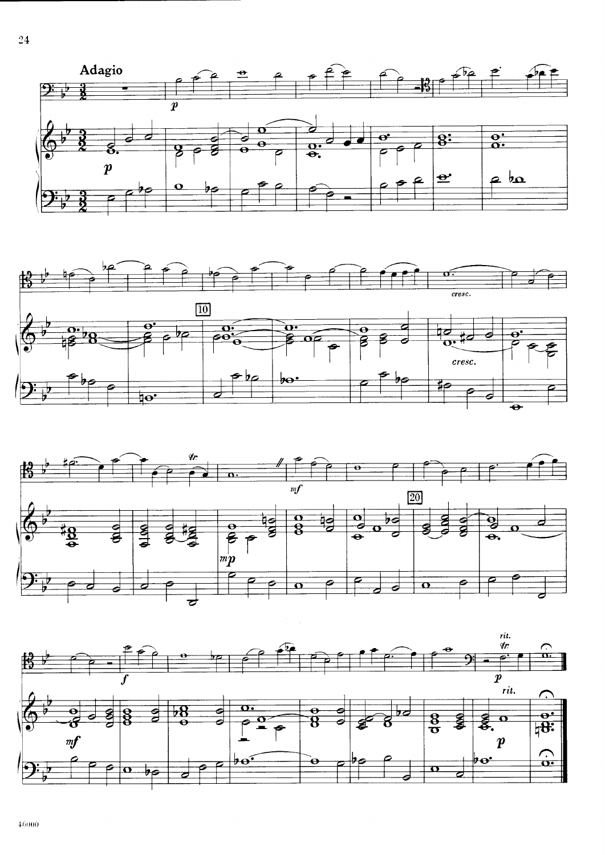